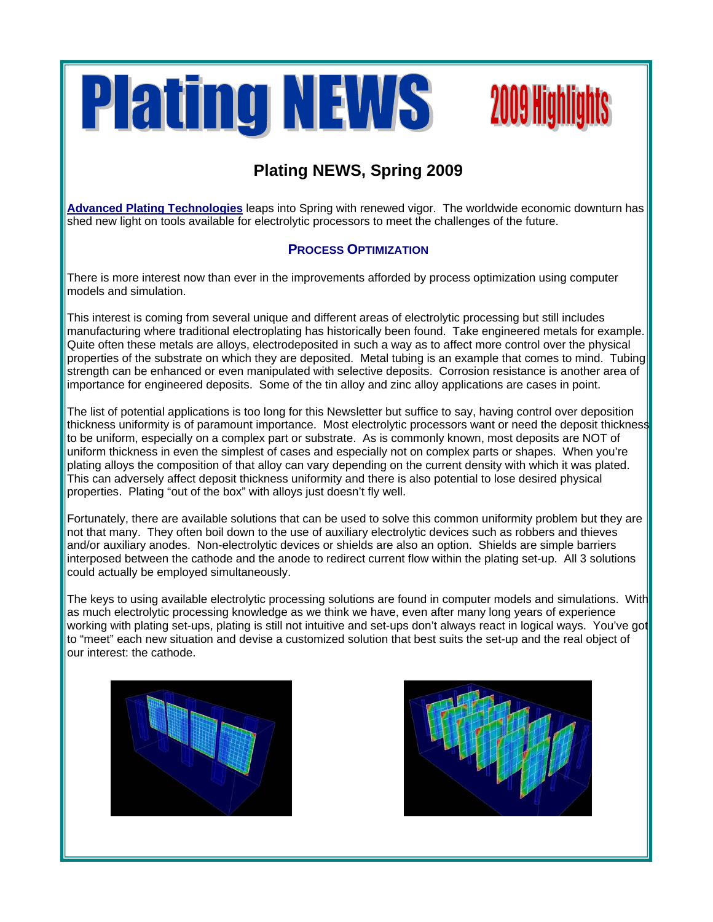

# **2009 Highlights**

## **Plating NEWS, Spring 2009**

**Advanced Plating Technologies** leaps into Spring with renewed vigor. The worldwide economic downturn has shed new light on tools available for electrolytic processors to meet the challenges of the future.

### **PROCESS OPTIMIZATION**

There is more interest now than ever in the improvements afforded by process optimization using computer models and simulation.

This interest is coming from several unique and different areas of electrolytic processing but still includes manufacturing where traditional electroplating has historically been found. Take engineered metals for example. Quite often these metals are alloys, electrodeposited in such a way as to affect more control over the physical properties of the substrate on which they are deposited. Metal tubing is an example that comes to mind. Tubing strength can be enhanced or even manipulated with selective deposits. Corrosion resistance is another area of importance for engineered deposits. Some of the tin alloy and zinc alloy applications are cases in point.

The list of potential applications is too long for this Newsletter but suffice to say, having control over deposition thickness uniformity is of paramount importance. Most electrolytic processors want or need the deposit thickness to be uniform, especially on a complex part or substrate. As is commonly known, most deposits are NOT of uniform thickness in even the simplest of cases and especially not on complex parts or shapes. When you're plating alloys the composition of that alloy can vary depending on the current density with which it was plated. This can adversely affect deposit thickness uniformity and there is also potential to lose desired physical properties. Plating "out of the box" with alloys just doesn't fly well.

Fortunately, there are available solutions that can be used to solve this common uniformity problem but they are not that many. They often boil down to the use of auxiliary electrolytic devices such as robbers and thieves and/or auxiliary anodes. Non-electrolytic devices or shields are also an option. Shields are simple barriers interposed between the cathode and the anode to redirect current flow within the plating set-up. All 3 solutions could actually be employed simultaneously.

The keys to using available electrolytic processing solutions are found in computer models and simulations. With as much electrolytic processing knowledge as we think we have, even after many long years of experience working with plating set-ups, plating is still not intuitive and set-ups don't always react in logical ways. You've got to "meet" each new situation and devise a customized solution that best suits the set-up and the real object of our interest: the cathode.



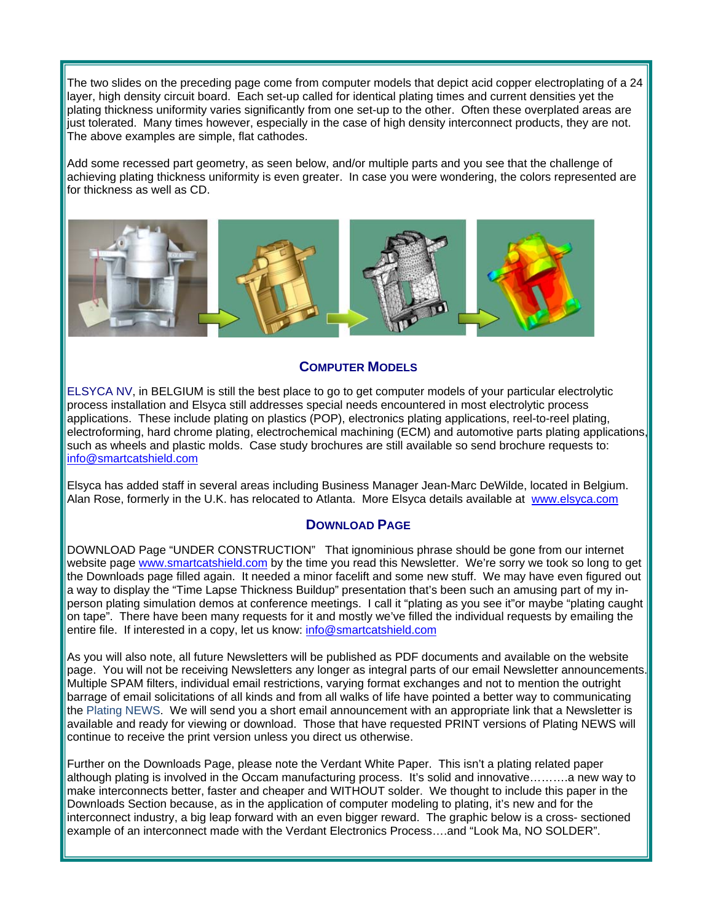The two slides on the preceding page come from computer models that depict acid copper electroplating of a 24 layer, high density circuit board. Each set-up called for identical plating times and current densities yet the plating thickness uniformity varies significantly from one set-up to the other. Often these overplated areas are just tolerated. Many times however, especially in the case of high density interconnect products, they are not. The above examples are simple, flat cathodes.

Add some recessed part geometry, as seen below, and/or multiple parts and you see that the challenge of achieving plating thickness uniformity is even greater. In case you were wondering, the colors represented are for thickness as well as CD.



#### **COMPUTER MODELS**

ELSYCA NV, in BELGIUM is still the best place to go to get computer models of your particular electrolytic process installation and Elsyca still addresses special needs encountered in most electrolytic process applications. These include plating on plastics (POP), electronics plating applications, reel-to-reel plating, electroforming, hard chrome plating, electrochemical machining (ECM) and automotive parts plating applications, such as wheels and plastic molds. Case study brochures are still available so send brochure requests to: [info@smartcatshield.com](mailto:info@smartcatshield.com)

Elsyca has added staff in several areas including Business Manager Jean-Marc DeWilde, located in Belgium. Alan Rose, formerly in the U.K. has relocated to Atlanta. More Elsyca details available at [www.elsyca.com](http://www.elsyca.com/)

#### **DOWNLOAD PAGE**

DOWNLOAD Page "UNDER CONSTRUCTION" That ignominious phrase should be gone from our internet website page [www.smartcatshield.com](http://www.smartcatshield.com/) by the time you read this Newsletter. We're sorry we took so long to get the Downloads page filled again. It needed a minor facelift and some new stuff. We may have even figured out a way to display the "Time Lapse Thickness Buildup" presentation that's been such an amusing part of my inperson plating simulation demos at conference meetings. I call it "plating as you see it"or maybe "plating caught on tape". There have been many requests for it and mostly we've filled the individual requests by emailing the entire file. If interested in a copy, let us know: [info@smartcatshield.com](mailto:info@smartcatshield.com)

As you will also note, all future Newsletters will be published as PDF documents and available on the website page. You will not be receiving Newsletters any longer as integral parts of our email Newsletter announcements. Multiple SPAM filters, individual email restrictions, varying format exchanges and not to mention the outright barrage of email solicitations of all kinds and from all walks of life have pointed a better way to communicating the Plating NEWS. We will send you a short email announcement with an appropriate link that a Newsletter is available and ready for viewing or download. Those that have requested PRINT versions of Plating NEWS will continue to receive the print version unless you direct us otherwise.

Further on the Downloads Page, please note the Verdant White Paper. This isn't a plating related paper although plating is involved in the Occam manufacturing process. It's solid and innovative……….a new way to make interconnects better, faster and cheaper and WITHOUT solder. We thought to include this paper in the Downloads Section because, as in the application of computer modeling to plating, it's new and for the interconnect industry, a big leap forward with an even bigger reward. The graphic below is a cross- sectioned example of an interconnect made with the Verdant Electronics Process….and "Look Ma, NO SOLDER".